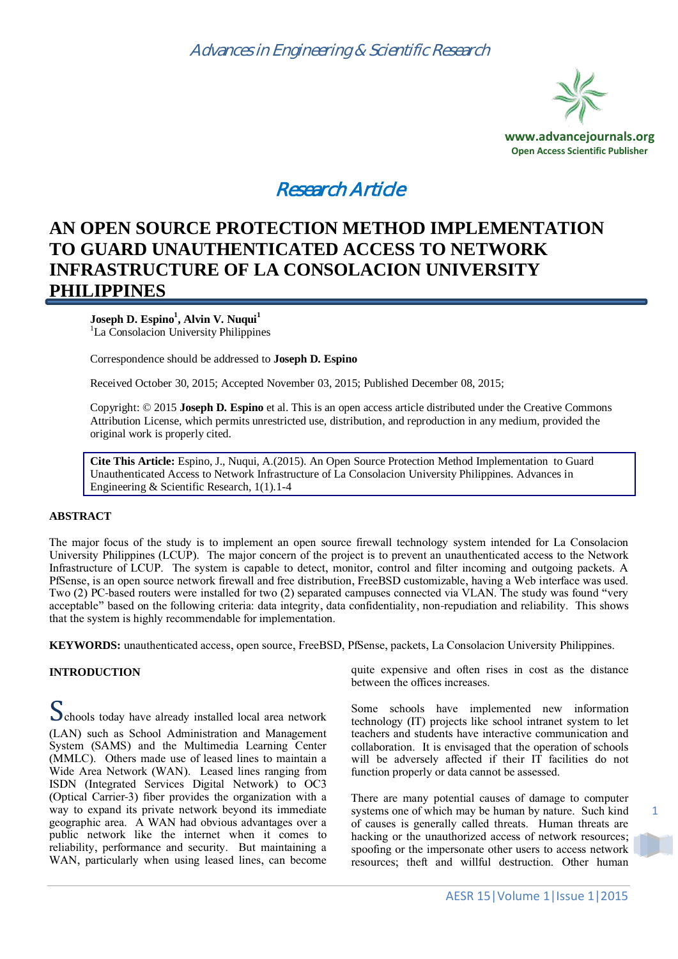

# Research Article

# **AN OPEN SOURCE PROTECTION METHOD IMPLEMENTATION TO GUARD UNAUTHENTICATED ACCESS TO NETWORK INFRASTRUCTURE OF LA CONSOLACION UNIVERSITY PHILIPPINES**

## **Joseph D. Espino<sup>1</sup> , Alvin V. Nuqui<sup>1</sup>**

<sup>1</sup>La Consolacion University Philippines

Correspondence should be addressed to **Joseph D. Espino**

Received October 30, 2015; Accepted November 03, 2015; Published December 08, 2015;

Copyright: © 2015 **Joseph D. Espino** et al. This is an open access article distributed under the Creative Commons Attribution License, which permits unrestricted use, distribution, and reproduction in any medium, provided the original work is properly cited.

**Cite This Article:** Espino, J., Nuqui, A.(2015). An Open Source Protection Method Implementation to Guard Unauthenticated Access to Network Infrastructure of La Consolacion University Philippines. Advances in Engineering & Scientific Research, 1(1).1-4

### **ABSTRACT**

The major focus of the study is to implement an open source firewall technology system intended for La Consolacion University Philippines (LCUP). The major concern of the project is to prevent an unauthenticated access to the Network Infrastructure of LCUP. The system is capable to detect, monitor, control and filter incoming and outgoing packets. A PfSense, is an open source network firewall and free distribution, FreeBSD customizable, having a Web interface was used. Two (2) PC-based routers were installed for two (2) separated campuses connected via VLAN. The study was found "very acceptable" based on the following criteria: data integrity, data confidentiality, non-repudiation and reliability. This shows that the system is highly recommendable for implementation.

**KEYWORDS:** unauthenticated access, open source, FreeBSD, PfSense, packets, La Consolacion University Philippines.

### **INTRODUCTION**

Schools today have already installed local area network (LAN) such as School Administration and Management System (SAMS) and the Multimedia Learning Center (MMLC). Others made use of leased lines to maintain a Wide Area Network (WAN). Leased lines ranging from ISDN (Integrated Services Digital Network) to OC3 (Optical Carrier-3) fiber provides the organization with a way to expand its private network beyond its immediate geographic area. A WAN had obvious advantages over a public network like the internet when it comes to reliability, performance and security. But maintaining a WAN, particularly when using leased lines, can become

quite expensive and often rises in cost as the distance between the offices increases.

Some schools have implemented new information technology (IT) projects like school intranet system to let teachers and students have interactive communication and collaboration. It is envisaged that the operation of schools will be adversely affected if their IT facilities do not function properly or data cannot be assessed.

There are many potential causes of damage to computer systems one of which may be human by nature. Such kind of causes is generally called threats. Human threats are hacking or the unauthorized access of network resources; spoofing or the impersonate other users to access network resources; theft and willful destruction. Other human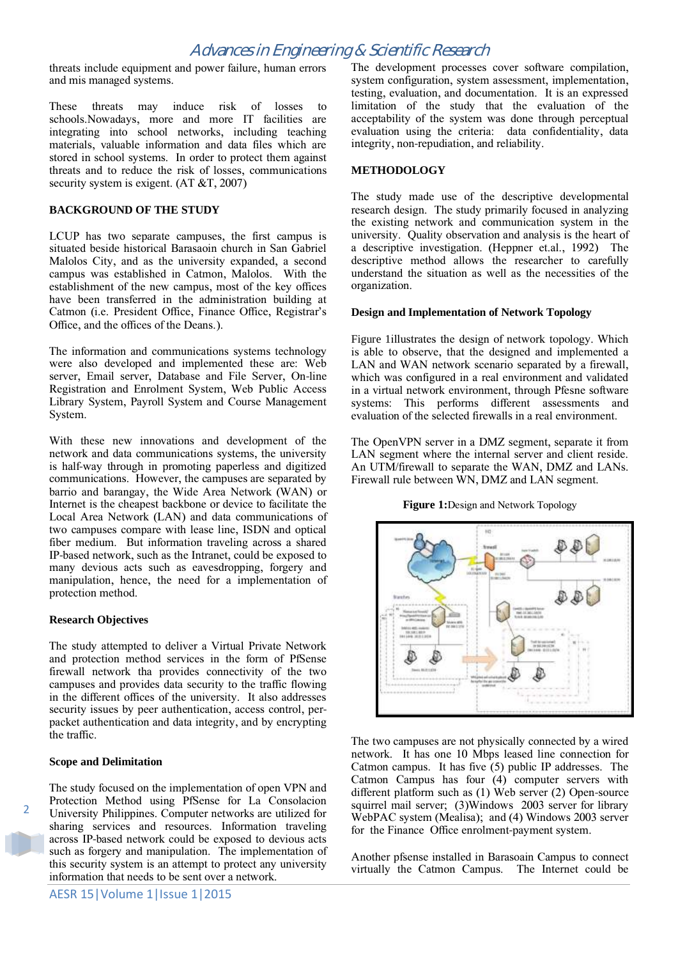# Advances in Engineering & Scientific Research

threats include equipment and power failure, human errors and mis managed systems.

These threats may induce risk of losses to schools.Nowadays, more and more IT facilities are integrating into school networks, including teaching materials, valuable information and data files which are stored in school systems. In order to protect them against threats and to reduce the risk of losses, communications security system is exigent. (AT  $, 2007)$ 

#### **BACKGROUND OF THE STUDY**

LCUP has two separate campuses, the first campus is situated beside historical Barasaoin church in San Gabriel Malolos City, and as the university expanded, a second campus was established in Catmon, Malolos. With the establishment of the new campus, most of the key offices have been transferred in the administration building at Catmon (i.e. President Office, Finance Office, Registrar's Office, and the offices of the Deans.).

The information and communications systems technology were also developed and implemented these are: Web server, Email server, Database and File Server, On-line Registration and Enrolment System, Web Public Access Library System, Payroll System and Course Management System.

With these new innovations and development of the network and data communications systems, the university is half-way through in promoting paperless and digitized communications. However, the campuses are separated by barrio and barangay, the Wide Area Network (WAN) or Internet is the cheapest backbone or device to facilitate the Local Area Network (LAN) and data communications of two campuses compare with lease line, ISDN and optical fiber medium. But information traveling across a shared IP-based network, such as the Intranet, could be exposed to many devious acts such as eavesdropping, forgery and manipulation, hence, the need for a implementation of protection method.

#### **Research Objectives**

The study attempted to deliver a Virtual Private Network and protection method services in the form of PfSense firewall network tha provides connectivity of the two campuses and provides data security to the traffic flowing in the different offices of the university. It also addresses security issues by peer authentication, access control, perpacket authentication and data integrity, and by encrypting the traffic.

#### **Scope and Delimitation**

 $\overline{2}$ 

The study focused on the implementation of open VPN and Protection Method using PfSense for La Consolacion University Philippines. Computer networks are utilized for sharing services and resources. Information traveling across IP-based network could be exposed to devious acts such as forgery and manipulation. The implementation of this security system is an attempt to protect any university information that needs to be sent over a network.

The development processes cover software compilation, system configuration, system assessment, implementation, testing, evaluation, and documentation. It is an expressed limitation of the study that the evaluation of the acceptability of the system was done through perceptual evaluation using the criteria: data confidentiality, data integrity, non-repudiation, and reliability.

#### **METHODOLOGY**

The study made use of the descriptive developmental research design. The study primarily focused in analyzing the existing network and communication system in the university. Quality observation and analysis is the heart of a descriptive investigation. (Heppner et.al., 1992) The descriptive method allows the researcher to carefully understand the situation as well as the necessities of the organization.

#### **Design and Implementation of Network Topology**

[Figure 1](#page-1-0)illustrates the design of network topology. Which is able to observe, that the designed and implemented a LAN and WAN network scenario separated by a firewall, which was configured in a real environment and validated in a virtual network environment, through Pfesne software systems: This performs different assessments and evaluation of the selected firewalls in a real environment.

The OpenVPN server in a DMZ segment, separate it from LAN segment where the internal server and client reside. An UTM/firewall to separate the WAN, DMZ and LANs. Firewall rule between WN, DMZ and LAN segment.

**Figure 1:**Design and Network Topology

<span id="page-1-0"></span>

The two campuses are not physically connected by a wired network. It has one 10 Mbps leased line connection for Catmon campus. It has five (5) public IP addresses. The Catmon Campus has four (4) computer servers with different platform such as (1) Web server (2) Open-source squirrel mail server; (3)Windows 2003 server for library WebPAC system (Mealisa); and (4) Windows 2003 server for the Finance Office enrolment-payment system.

Another pfsense installed in Barasoain Campus to connect virtually the Catmon Campus. The Internet could be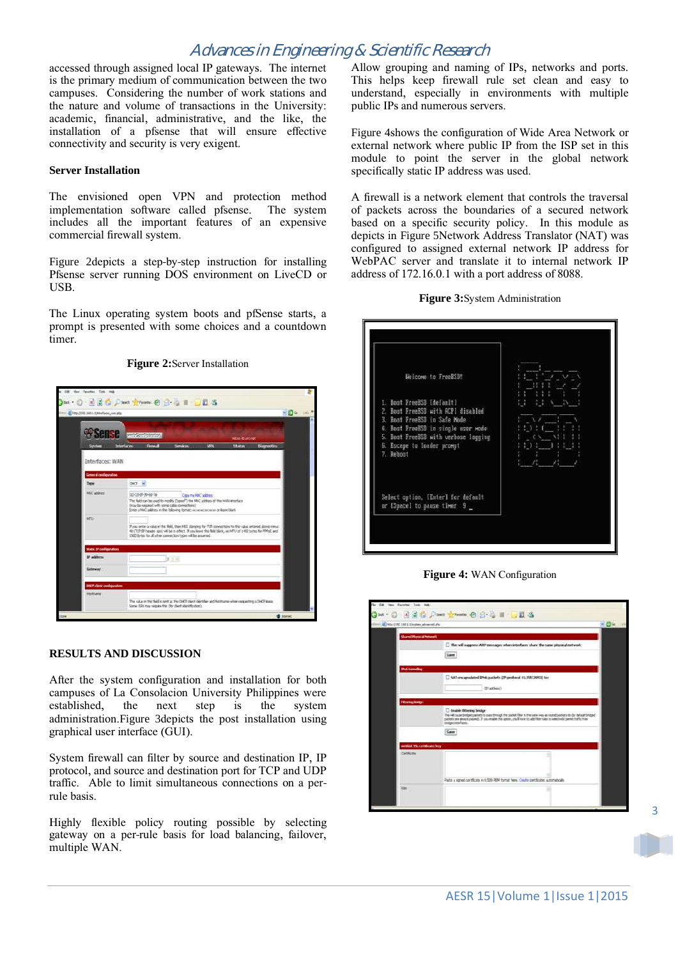# Advances in Engineering & Scientific Research

accessed through assigned local IP gateways. The internet is the primary medium of communication between the two campuses. Considering the number of work stations and the nature and volume of transactions in the University: academic, financial, administrative, and the like, the installation of a pfsense that will ensure effective connectivity and security is very exigent.

#### **Server Installation**

The envisioned open VPN and protection method implementation software called pfsense. The system includes all the important features of an expensive commercial firewall system.

[Figure 2](#page-2-0)depicts a step-by-step instruction for installing Pfsense server running DOS environment on LiveCD or USB.

The Linux operating system boots and pfSense starts, a prompt is presented with some choices and a countdown timer.

<span id="page-2-0"></span>

#### **Figure 2:**Server Installation

#### **RESULTS AND DISCUSSION**

After the system configuration and installation for both campuses of La Consolacion University Philippines were established, the next step is the system administration.[Figure 3](#page-2-1)depicts the post installation using graphical user interface (GUI).

System firewall can filter by source and destination IP, IP protocol, and source and destination port for TCP and UDP traffic. Able to limit simultaneous connections on a perrule basis.

Highly flexible policy routing possible by selecting gateway on a per-rule basis for load balancing, failover, multiple WAN.

Allow grouping and naming of IPs, networks and ports. This helps keep firewall rule set clean and easy to understand, especially in environments with multiple public IPs and numerous servers.

[Figure 4](#page-2-2)shows the configuration of Wide Area Network or external network where public IP from the ISP set in this module to point the server in the global network specifically static IP address was used.

A firewall is a network element that controls the traversal of packets across the boundaries of a secured network based on a specific security policy. In this module as depicts in [Figure 5](#page-3-0)Network Address Translator (NAT) was configured to assigned external network IP address for WebPAC server and translate it to internal network IP address of 172.16.0.1 with a port address of 8088.

<span id="page-2-1"></span>

#### **Figure 3:**System Administration

**Figure 4:** WAN Configuration

<span id="page-2-2"></span>

 $\overline{a}$